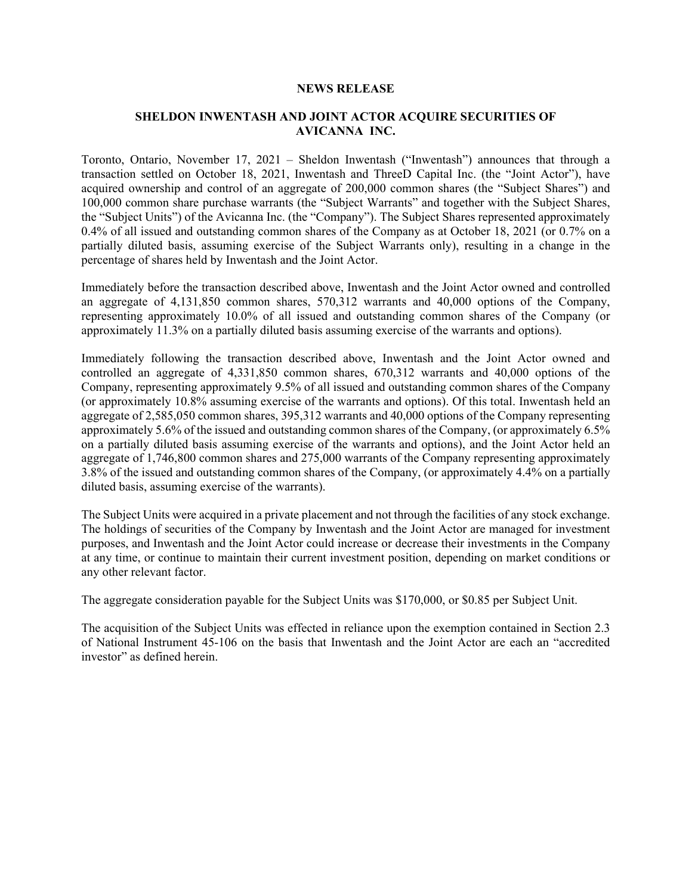## **NEWS RELEASE**

## **SHELDON INWENTASH AND JOINT ACTOR ACQUIRE SECURITIES OF AVICANNA INC.**

Toronto, Ontario, November 17, 2021 – Sheldon Inwentash ("Inwentash") announces that through a transaction settled on October 18, 2021, Inwentash and ThreeD Capital Inc. (the "Joint Actor"), have acquired ownership and control of an aggregate of 200,000 common shares (the "Subject Shares") and 100,000 common share purchase warrants (the "Subject Warrants" and together with the Subject Shares, the "Subject Units") of the Avicanna Inc. (the "Company"). The Subject Shares represented approximately 0.4% of all issued and outstanding common shares of the Company as at October 18, 2021 (or 0.7% on a partially diluted basis, assuming exercise of the Subject Warrants only), resulting in a change in the percentage of shares held by Inwentash and the Joint Actor.

Immediately before the transaction described above, Inwentash and the Joint Actor owned and controlled an aggregate of 4,131,850 common shares, 570,312 warrants and 40,000 options of the Company, representing approximately 10.0% of all issued and outstanding common shares of the Company (or approximately 11.3% on a partially diluted basis assuming exercise of the warrants and options).

Immediately following the transaction described above, Inwentash and the Joint Actor owned and controlled an aggregate of 4,331,850 common shares, 670,312 warrants and 40,000 options of the Company, representing approximately 9.5% of all issued and outstanding common shares of the Company (or approximately 10.8% assuming exercise of the warrants and options). Of this total. Inwentash held an aggregate of 2,585,050 common shares, 395,312 warrants and 40,000 options of the Company representing approximately 5.6% of the issued and outstanding common shares of the Company, (or approximately 6.5% on a partially diluted basis assuming exercise of the warrants and options), and the Joint Actor held an aggregate of 1,746,800 common shares and 275,000 warrants of the Company representing approximately 3.8% of the issued and outstanding common shares of the Company, (or approximately 4.4% on a partially diluted basis, assuming exercise of the warrants).

The Subject Units were acquired in a private placement and not through the facilities of any stock exchange. The holdings of securities of the Company by Inwentash and the Joint Actor are managed for investment purposes, and Inwentash and the Joint Actor could increase or decrease their investments in the Company at any time, or continue to maintain their current investment position, depending on market conditions or any other relevant factor.

The aggregate consideration payable for the Subject Units was \$170,000, or \$0.85 per Subject Unit.

The acquisition of the Subject Units was effected in reliance upon the exemption contained in Section 2.3 of National Instrument 45-106 on the basis that Inwentash and the Joint Actor are each an "accredited investor" as defined herein.